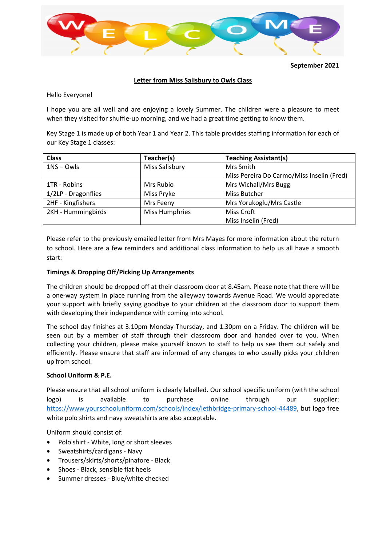

**September 2021** 

# **Letter from Miss Salisbury to Owls Class**

Hello Everyone!

I hope you are all well and are enjoying a lovely Summer. The children were a pleasure to meet when they visited for shuffle-up morning, and we had a great time getting to know them.

Key Stage 1 is made up of both Year 1 and Year 2. This table provides staffing information for each of our Key Stage 1 classes:

| <b>Class</b>        | Teacher(s)            | <b>Teaching Assistant(s)</b>              |
|---------------------|-----------------------|-------------------------------------------|
| $1NS - Qw/s$        | Miss Salisbury        | Mrs Smith                                 |
|                     |                       | Miss Pereira Do Carmo/Miss Inselin (Fred) |
| 1TR - Robins        | Mrs Rubio             | Mrs Wichall/Mrs Bugg                      |
| 1/2LP - Dragonflies | Miss Pryke            | Miss Butcher                              |
| 2HF - Kingfishers   | Mrs Feeny             | Mrs Yorukoglu/Mrs Castle                  |
| 2KH - Hummingbirds  | <b>Miss Humphries</b> | Miss Croft                                |
|                     |                       | Miss Inselin (Fred)                       |

Please refer to the previously emailed letter from Mrs Mayes for more information about the return to school. Here are a few reminders and additional class information to help us all have a smooth start:

# **Timings & Dropping Off/Picking Up Arrangements**

The children should be dropped off at their classroom door at 8.45am. Please note that there will be a one-way system in place running from the alleyway towards Avenue Road. We would appreciate your support with briefly saying goodbye to your children at the classroom door to support them with developing their independence with coming into school.

The school day finishes at 3.10pm Monday-Thursday, and 1.30pm on a Friday. The children will be seen out by a member of staff through their classroom door and handed over to you. When collecting your children, please make yourself known to staff to help us see them out safely and efficiently. Please ensure that staff are informed of any changes to who usually picks your children up from school.

## **School Uniform & P.E.**

Please ensure that all school uniform is clearly labelled. Our school specific uniform (with the school logo) is available to purchase online through our supplier: https://www.yourschooluniform.com/schools/index/lethbridge-primary-school-44489, but logo free white polo shirts and navy sweatshirts are also acceptable.

Uniform should consist of:

- Polo shirt White, long or short sleeves
- Sweatshirts/cardigans Navy
- Trousers/skirts/shorts/pinafore Black
- Shoes Black, sensible flat heels
- Summer dresses Blue/white checked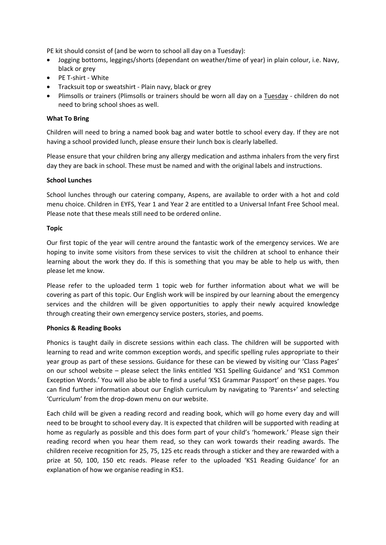PE kit should consist of (and be worn to school all day on a Tuesday):

- Jogging bottoms, leggings/shorts (dependant on weather/time of year) in plain colour, i.e. Navy, black or grey
- PE T-shirt White
- Tracksuit top or sweatshirt Plain navy, black or grey
- Plimsolls or trainers (Plimsolls or trainers should be worn all day on a Tuesday children do not need to bring school shoes as well.

### **What To Bring**

Children will need to bring a named book bag and water bottle to school every day. If they are not having a school provided lunch, please ensure their lunch box is clearly labelled.

Please ensure that your children bring any allergy medication and asthma inhalers from the very first day they are back in school. These must be named and with the original labels and instructions.

#### **School Lunches**

School lunches through our catering company, Aspens, are available to order with a hot and cold menu choice. Children in EYFS, Year 1 and Year 2 are entitled to a Universal Infant Free School meal. Please note that these meals still need to be ordered online.

#### **Topic**

Our first topic of the year will centre around the fantastic work of the emergency services. We are hoping to invite some visitors from these services to visit the children at school to enhance their learning about the work they do. If this is something that you may be able to help us with, then please let me know.

Please refer to the uploaded term 1 topic web for further information about what we will be covering as part of this topic. Our English work will be inspired by our learning about the emergency services and the children will be given opportunities to apply their newly acquired knowledge through creating their own emergency service posters, stories, and poems.

## **Phonics & Reading Books**

Phonics is taught daily in discrete sessions within each class. The children will be supported with learning to read and write common exception words, and specific spelling rules appropriate to their year group as part of these sessions. Guidance for these can be viewed by visiting our 'Class Pages' on our school website – please select the links entitled 'KS1 Spelling Guidance' and 'KS1 Common Exception Words.' You will also be able to find a useful 'KS1 Grammar Passport' on these pages. You can find further information about our English curriculum by navigating to 'Parents+' and selecting 'Curriculum' from the drop-down menu on our website.

Each child will be given a reading record and reading book, which will go home every day and will need to be brought to school every day. It is expected that children will be supported with reading at home as regularly as possible and this does form part of your child's 'homework.' Please sign their reading record when you hear them read, so they can work towards their reading awards. The children receive recognition for 25, 75, 125 etc reads through a sticker and they are rewarded with a prize at 50, 100, 150 etc reads. Please refer to the uploaded 'KS1 Reading Guidance' for an explanation of how we organise reading in KS1.